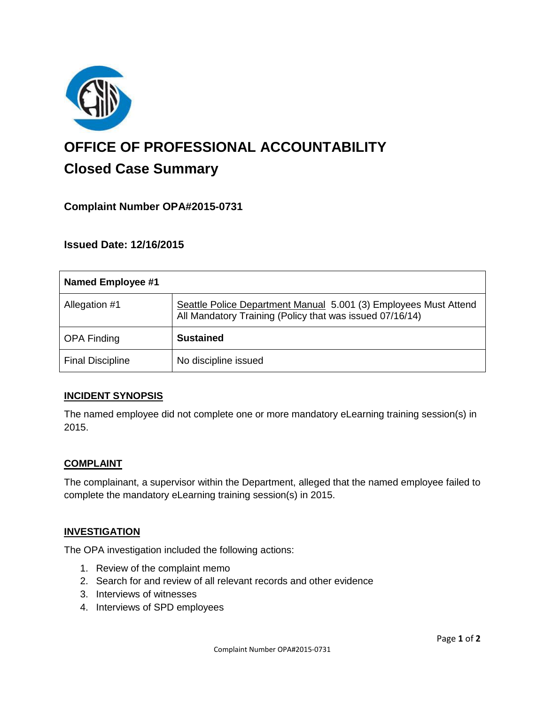

# **OFFICE OF PROFESSIONAL ACCOUNTABILITY Closed Case Summary**

# **Complaint Number OPA#2015-0731**

**Issued Date: 12/16/2015**

| Named Employee #1       |                                                                                                                              |
|-------------------------|------------------------------------------------------------------------------------------------------------------------------|
| Allegation #1           | Seattle Police Department Manual 5.001 (3) Employees Must Attend<br>All Mandatory Training (Policy that was issued 07/16/14) |
| <b>OPA Finding</b>      | <b>Sustained</b>                                                                                                             |
| <b>Final Discipline</b> | No discipline issued                                                                                                         |

### **INCIDENT SYNOPSIS**

The named employee did not complete one or more mandatory eLearning training session(s) in 2015.

### **COMPLAINT**

The complainant, a supervisor within the Department, alleged that the named employee failed to complete the mandatory eLearning training session(s) in 2015.

## **INVESTIGATION**

The OPA investigation included the following actions:

- 1. Review of the complaint memo
- 2. Search for and review of all relevant records and other evidence
- 3. Interviews of witnesses
- 4. Interviews of SPD employees